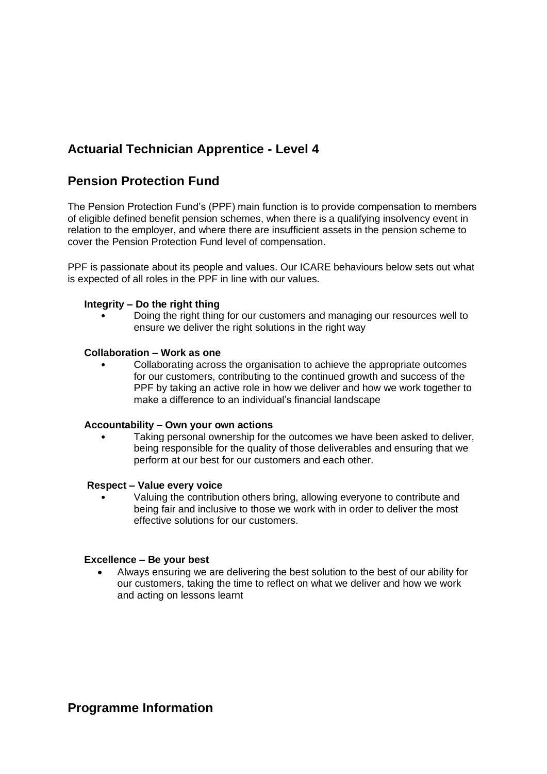# **Actuarial Technician Apprentice - Level 4**

## **Pension Protection Fund**

The Pension Protection Fund's (PPF) main function is to provide compensation to members of eligible defined benefit pension schemes, when there is a qualifying insolvency event in relation to the employer, and where there are insufficient assets in the pension scheme to cover the Pension Protection Fund level of compensation.

PPF is passionate about its people and values. Our ICARE behaviours below sets out what is expected of all roles in the PPF in line with our values.

### **Integrity – Do the right thing**

• Doing the right thing for our customers and managing our resources well to ensure we deliver the right solutions in the right way

#### **Collaboration – Work as one**

• Collaborating across the organisation to achieve the appropriate outcomes for our customers, contributing to the continued growth and success of the PPF by taking an active role in how we deliver and how we work together to make a difference to an individual's financial landscape

#### **Accountability – Own your own actions**

Taking personal ownership for the outcomes we have been asked to deliver, being responsible for the quality of those deliverables and ensuring that we perform at our best for our customers and each other.

#### **Respect – Value every voice**

• Valuing the contribution others bring, allowing everyone to contribute and being fair and inclusive to those we work with in order to deliver the most effective solutions for our customers.

#### **Excellence – Be your best**

• Always ensuring we are delivering the best solution to the best of our ability for our customers, taking the time to reflect on what we deliver and how we work and acting on lessons learnt

### **Programme Information**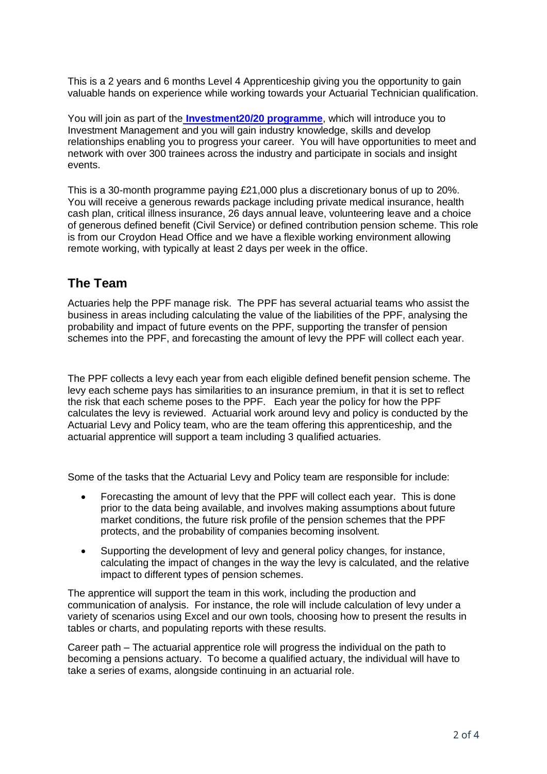This is a 2 years and 6 months Level 4 Apprenticeship giving you the opportunity to gain valuable hands on experience while working towards your Actuarial Technician qualification.

You will join as part of the **[Investment20/20 programme](https://www.investment2020.org.uk/)**, which will introduce you to Investment Management and you will gain industry knowledge, skills and develop relationships enabling you to progress your career. You will have opportunities to meet and network with over 300 trainees across the industry and participate in socials and insight events.

This is a 30-month programme paying £21,000 plus a discretionary bonus of up to 20%. You will receive a generous rewards package including private medical insurance, health cash plan, critical illness insurance, 26 days annual leave, volunteering leave and a choice of generous defined benefit (Civil Service) or defined contribution pension scheme. This role is from our Croydon Head Office and we have a flexible working environment allowing remote working, with typically at least 2 days per week in the office.

### **The Team**

Actuaries help the PPF manage risk. The PPF has several actuarial teams who assist the business in areas including calculating the value of the liabilities of the PPF, analysing the probability and impact of future events on the PPF, supporting the transfer of pension schemes into the PPF, and forecasting the amount of levy the PPF will collect each year.

The PPF collects a levy each year from each eligible defined benefit pension scheme. The levy each scheme pays has similarities to an insurance premium, in that it is set to reflect the risk that each scheme poses to the PPF. Each year the policy for how the PPF calculates the levy is reviewed. Actuarial work around levy and policy is conducted by the Actuarial Levy and Policy team, who are the team offering this apprenticeship, and the actuarial apprentice will support a team including 3 qualified actuaries.

Some of the tasks that the Actuarial Levy and Policy team are responsible for include:

- Forecasting the amount of levy that the PPF will collect each year. This is done prior to the data being available, and involves making assumptions about future market conditions, the future risk profile of the pension schemes that the PPF protects, and the probability of companies becoming insolvent.
- Supporting the development of levy and general policy changes, for instance, calculating the impact of changes in the way the levy is calculated, and the relative impact to different types of pension schemes.

The apprentice will support the team in this work, including the production and communication of analysis. For instance, the role will include calculation of levy under a variety of scenarios using Excel and our own tools, choosing how to present the results in tables or charts, and populating reports with these results.

Career path – The actuarial apprentice role will progress the individual on the path to becoming a pensions actuary. To become a qualified actuary, the individual will have to take a series of exams, alongside continuing in an actuarial role.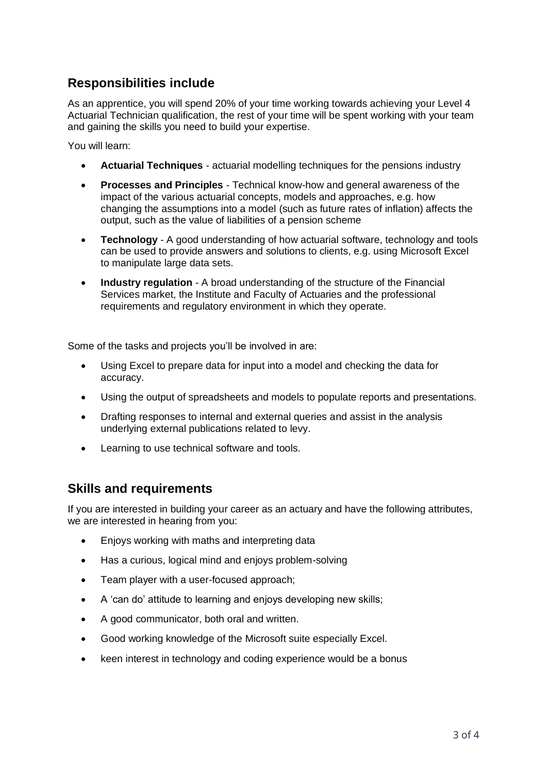## **Responsibilities include**

As an apprentice, you will spend 20% of your time working towards achieving your Level 4 Actuarial Technician qualification, the rest of your time will be spent working with your team and gaining the skills you need to build your expertise.

You will learn:

- **Actuarial Techniques** actuarial modelling techniques for the pensions industry
- **Processes and Principles** Technical know-how and general awareness of the impact of the various actuarial concepts, models and approaches, e.g. how changing the assumptions into a model (such as future rates of inflation) affects the output, such as the value of liabilities of a pension scheme
- **Technology**  A good understanding of how actuarial software, technology and tools can be used to provide answers and solutions to clients, e.g. using Microsoft Excel to manipulate large data sets.
- **Industry regulation** A broad understanding of the structure of the Financial Services market, the Institute and Faculty of Actuaries and the professional requirements and regulatory environment in which they operate.

Some of the tasks and projects you'll be involved in are:

- Using Excel to prepare data for input into a model and checking the data for accuracy.
- Using the output of spreadsheets and models to populate reports and presentations.
- Drafting responses to internal and external queries and assist in the analysis underlying external publications related to levy.
- Learning to use technical software and tools.

### **Skills and requirements**

If you are interested in building your career as an actuary and have the following attributes, we are interested in hearing from you:

- Enjoys working with maths and interpreting data
- Has a curious, logical mind and enjoys problem-solving
- Team player with a user-focused approach;
- A 'can do' attitude to learning and enjoys developing new skills;
- A good communicator, both oral and written.
- Good working knowledge of the Microsoft suite especially Excel.
- keen interest in technology and coding experience would be a bonus